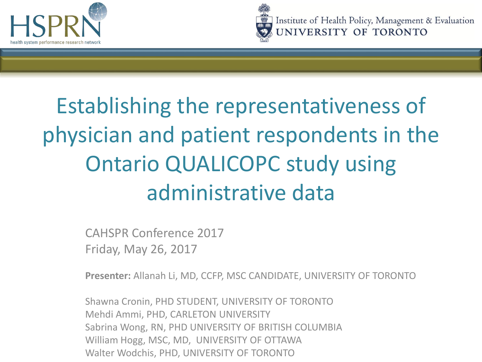



Institute of Health Policy, Management & Evaluation UNIVERSITY OF TORONTO

### Establishing the representativeness of physician and patient respondents in the Ontario QUALICOPC study using administrative data

CAHSPR Conference 2017 Friday, May 26, 2017

**Presenter:** Allanah Li, MD, CCFP, MSC CANDIDATE, UNIVERSITY OF TORONTO

Shawna Cronin, PHD STUDENT, UNIVERSITY OF TORONTO Mehdi Ammi, PHD, CARLETON UNIVERSITY Sabrina Wong, RN, PHD UNIVERSITY OF BRITISH COLUMBIA William Hogg, MSC, MD, UNIVERSITY OF OTTAWA Walter Wodchis, PHD, UNIVERSITY OF TORONTO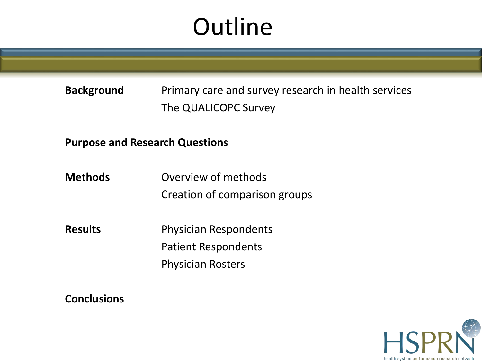### **Outline**

**Background** Primary care and survey research in health services The QUALICOPC Survey

**Purpose and Research Questions**

**Methods** Overview of methods Creation of comparison groups

**Results** Physician Respondents Patient Respondents Physician Rosters

**Conclusions**

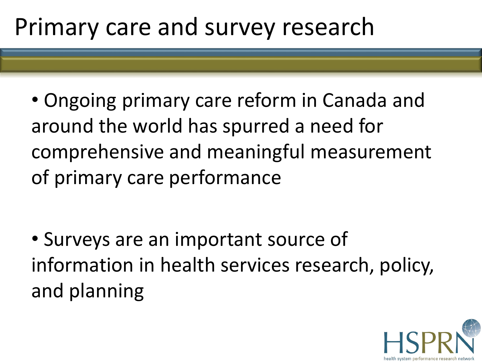#### Primary care and survey research

• Ongoing primary care reform in Canada and around the world has spurred a need for comprehensive and meaningful measurement of primary care performance

• Surveys are an important source of information in health services research, policy, and planning

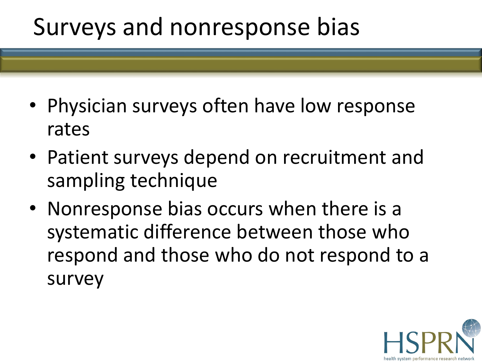#### Surveys and nonresponse bias

- Physician surveys often have low response rates
- Patient surveys depend on recruitment and sampling technique
- Nonresponse bias occurs when there is a systematic difference between those who respond and those who do not respond to a survey

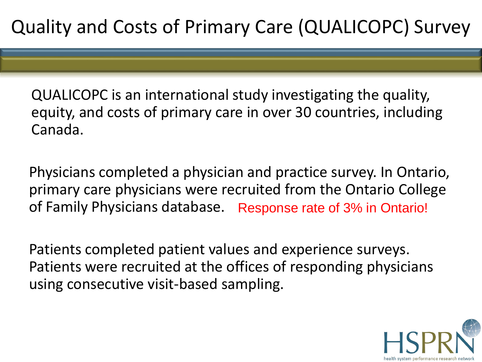QUALICOPC is an international study investigating the quality, equity, and costs of primary care in over 30 countries, including Canada.

Physicians completed a physician and practice survey. In Ontario, primary care physicians were recruited from the Ontario College of Family Physicians database. Response rate of 3% in Ontario!

Patients completed patient values and experience surveys. Patients were recruited at the offices of responding physicians using consecutive visit-based sampling.

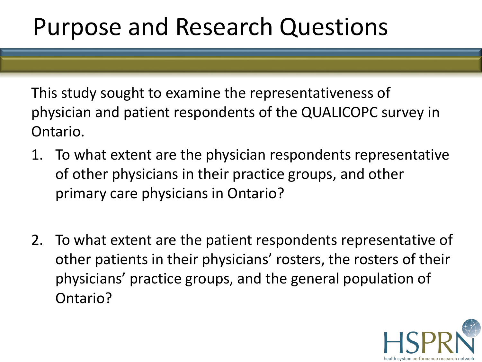#### Purpose and Research Questions

This study sought to examine the representativeness of physician and patient respondents of the QUALICOPC survey in Ontario.

- 1. To what extent are the physician respondents representative of other physicians in their practice groups, and other primary care physicians in Ontario?
- 2. To what extent are the patient respondents representative of other patients in their physicians' rosters, the rosters of their physicians' practice groups, and the general population of Ontario?

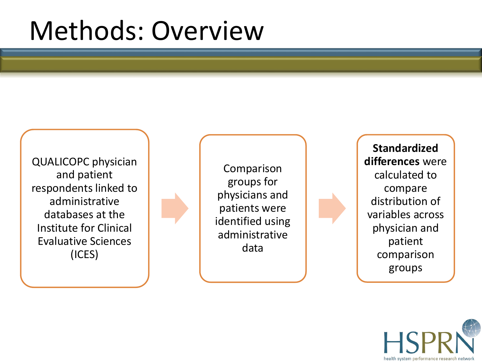## Methods: Overview

QUALICOPC physician and patient respondents linked to administrative databases at the Institute for Clinical Evaluative Sciences (ICES)

Comparison groups for physicians and patients were identified using administrative data

**Standardized differences** were calculated to compare distribution of variables across physician and patient comparison groups

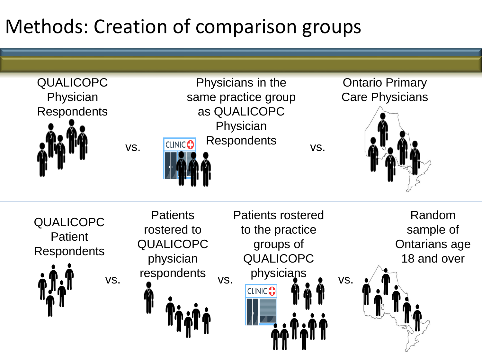#### Methods: Creation of comparison groups

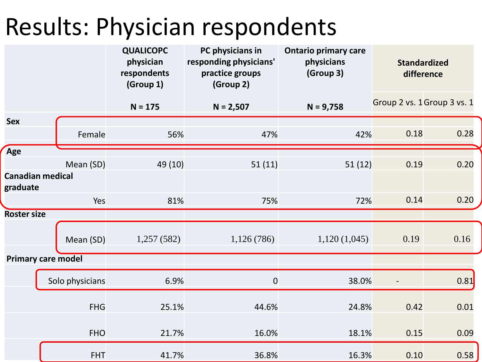#### Results: Physician respondents

|                    |                           | <b>QUALICOPC</b><br>physician<br>respondents<br>(Group 1) | PC physicians in<br>responding physicians'<br>practice groups<br>(Group 2) | <b>Ontario primary care</b><br>physicians<br>(Group 3) | <b>Standardized</b><br>difference |      |
|--------------------|---------------------------|-----------------------------------------------------------|----------------------------------------------------------------------------|--------------------------------------------------------|-----------------------------------|------|
|                    |                           | $N = 175$                                                 | $N = 2,507$                                                                | $N = 9,758$                                            | Group 2 vs. 1 Group 3 vs. 1       |      |
| <b>Sex</b>         | Female                    | 56%                                                       | 47%                                                                        | 42%                                                    | 0.18                              | 0.28 |
| Age                |                           |                                                           |                                                                            |                                                        |                                   |      |
|                    | Mean (SD)                 | 49 (10)                                                   | 51(11)                                                                     | 51(12)                                                 | 0.19                              | 0.20 |
| graduate           | <b>Canadian medical</b>   |                                                           |                                                                            |                                                        |                                   |      |
|                    | Yes                       | 81%                                                       | 75%                                                                        | 72%                                                    | 0.14                              | 0.20 |
| <b>Roster size</b> |                           |                                                           |                                                                            |                                                        |                                   |      |
|                    | Mean (SD)                 | 1,257(582)                                                | 1,126(786)                                                                 | 1,120(1,045)                                           | 0.19                              | 0.16 |
|                    | <b>Primary care model</b> |                                                           |                                                                            |                                                        |                                   |      |
|                    | Solo physicians           | 6.9%                                                      | $\mathbf 0$                                                                | 38.0%                                                  |                                   | 0.81 |
|                    | <b>FHG</b>                | 25.1%                                                     | 44.6%                                                                      | 24.8%                                                  | 0.42                              | 0.01 |
|                    | <b>FHO</b>                | 21.7%                                                     | 16.0%                                                                      | 18.1%                                                  | 0.15                              | 0.09 |
|                    | <b>FHT</b>                | 41.7%                                                     | 36.8%                                                                      | 16.3%                                                  | 0.10                              | 0.58 |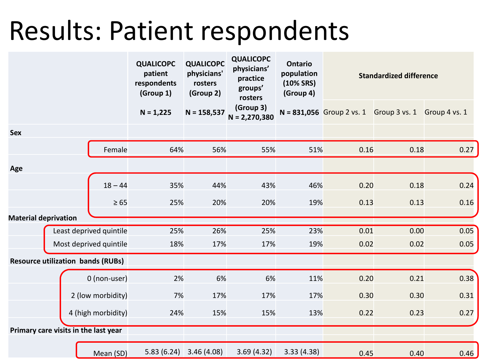## Results: Patient respondents

|                                          |                         |                    | <b>QUALICOPC</b><br>patient<br>respondents<br>(Group 1) | <b>QUALICOPC</b><br>physicians'<br>rosters<br>(Group 2) | <b>QUALICOPC</b><br>physicians'<br>practice<br>groups'<br>rosters | <b>Ontario</b><br>population<br>$(10\% SRS)$<br>(Group 4) |                             | <b>Standardized difference</b> |               |
|------------------------------------------|-------------------------|--------------------|---------------------------------------------------------|---------------------------------------------------------|-------------------------------------------------------------------|-----------------------------------------------------------|-----------------------------|--------------------------------|---------------|
|                                          |                         |                    | $N = 1,225$                                             | $N = 158,537$                                           | (Group 3)<br>$N = 2,270,380$                                      |                                                           | $N = 831,056$ Group 2 vs. 1 | Group 3 vs. 1                  | Group 4 vs. 1 |
| <b>Sex</b>                               |                         |                    |                                                         |                                                         |                                                                   |                                                           |                             |                                |               |
|                                          |                         | Female             | 64%                                                     | 56%                                                     | 55%                                                               | 51%                                                       | 0.16                        | 0.18                           | 0.27          |
| Age                                      |                         |                    |                                                         |                                                         |                                                                   |                                                           |                             |                                |               |
|                                          |                         | $18 - 44$          | 35%                                                     | 44%                                                     | 43%                                                               | 46%                                                       | 0.20                        | 0.18                           | 0.24          |
|                                          |                         | $\geq 65$          | 25%                                                     | 20%                                                     | 20%                                                               | 19%                                                       | 0.13                        | 0.13                           | 0.16          |
| <b>Material deprivation</b>              |                         |                    |                                                         |                                                         |                                                                   |                                                           |                             |                                |               |
|                                          | Least deprived quintile |                    | 25%                                                     | 26%                                                     | 25%                                                               | 23%                                                       | 0.01                        | 0.00                           | 0.05          |
|                                          | Most deprived quintile  |                    | 18%                                                     | 17%                                                     | 17%                                                               | 19%                                                       | 0.02                        | 0.02                           | 0.05          |
| <b>Resource utilization bands (RUBs)</b> |                         |                    |                                                         |                                                         |                                                                   |                                                           |                             |                                |               |
|                                          |                         | 0 (non-user)       | 2%                                                      | 6%                                                      | 6%                                                                | 11%                                                       | 0.20                        | 0.21                           | 0.38          |
|                                          |                         | 2 (low morbidity)  | 7%                                                      | 17%                                                     | 17%                                                               | 17%                                                       | 0.30                        | 0.30                           | 0.31          |
|                                          |                         | 4 (high morbidity) | 24%                                                     | 15%                                                     | 15%                                                               | 13%                                                       | 0.22                        | 0.23                           | 0.27          |
| Primary care visits in the last year     |                         |                    |                                                         |                                                         |                                                                   |                                                           |                             |                                |               |
|                                          |                         | Mean (SD)          | 5.83(6.24)                                              | 3.46(4.08)                                              | 3.69(4.32)                                                        | 3.33(4.38)                                                | 0.45                        | 0.40                           | 0.46          |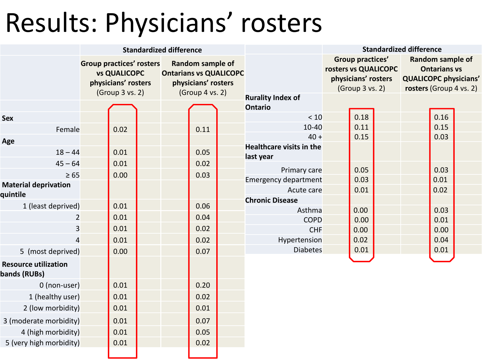# Results: Physicians' rosters

|                                             |                                 |                                                               | <b>Standardized difference</b> |                                                            |                                              |                                             |                                            | <b>Standardized difference</b>                          |                                         |  |
|---------------------------------------------|---------------------------------|---------------------------------------------------------------|--------------------------------|------------------------------------------------------------|----------------------------------------------|---------------------------------------------|--------------------------------------------|---------------------------------------------------------|-----------------------------------------|--|
|                                             | <b>Group practices' rosters</b> | <b>vs QUALICOPC</b><br>physicians' rosters<br>(Group 3 vs. 2) | <b>Ontarians vs QUALICOPC</b>  | Random sample of<br>physicians' rosters<br>(Group 4 vs. 2) |                                              | rosters vs QUALICOPC<br>physicians' rosters | <b>Group practices'</b><br>(Group 3 vs. 2) | <b>QUALICOPC physicians'</b><br>rosters (Group 4 vs. 2) | Random sample of<br><b>Ontarians vs</b> |  |
|                                             |                                 |                                                               |                                |                                                            | <b>Rurality Index of</b><br><b>Ontario</b>   |                                             |                                            |                                                         |                                         |  |
| <b>Sex</b>                                  |                                 |                                                               |                                |                                                            | < 10                                         |                                             | 0.18                                       |                                                         | 0.16                                    |  |
| Female                                      |                                 | 0.02                                                          |                                | 0.11                                                       | 10-40                                        |                                             | 0.11                                       |                                                         | 0.15                                    |  |
| Age                                         |                                 |                                                               |                                |                                                            | $40 +$                                       |                                             | 0.15                                       |                                                         | 0.03                                    |  |
| $18 - 44$                                   |                                 | 0.01                                                          |                                | 0.05                                                       | <b>Healthcare visits in the</b><br>last year |                                             |                                            |                                                         |                                         |  |
| $45 - 64$                                   |                                 | 0.01                                                          |                                | 0.02                                                       | Primary care                                 |                                             | 0.05                                       |                                                         | 0.03                                    |  |
| $\geq 65$                                   |                                 | 0.00                                                          |                                | 0.03                                                       | <b>Emergency department</b>                  |                                             | 0.03                                       |                                                         | 0.01                                    |  |
| <b>Material deprivation</b><br>quintile     |                                 |                                                               |                                |                                                            | Acute care                                   |                                             | 0.01                                       |                                                         | 0.02                                    |  |
| 1 (least deprived)                          |                                 | 0.01                                                          |                                | 0.06                                                       | <b>Chronic Disease</b>                       |                                             |                                            |                                                         |                                         |  |
| $\overline{2}$                              |                                 | 0.01                                                          |                                | 0.04                                                       | Asthma<br><b>COPD</b>                        |                                             | 0.00<br>0.00                               |                                                         | 0.03<br>0.01                            |  |
| $\overline{\mathbf{3}}$                     |                                 | 0.01                                                          |                                | 0.02                                                       | <b>CHF</b>                                   |                                             | 0.00                                       |                                                         | 0.00                                    |  |
| 4                                           |                                 | 0.01                                                          |                                | 0.02                                                       | Hypertension                                 |                                             | 0.02                                       |                                                         | 0.04                                    |  |
| 5 (most deprived)                           |                                 | 0.00                                                          |                                | 0.07                                                       | <b>Diabetes</b>                              |                                             | 0.01                                       |                                                         | 0.01                                    |  |
| <b>Resource utilization</b><br>bands (RUBs) |                                 |                                                               |                                |                                                            |                                              |                                             |                                            |                                                         |                                         |  |
| 0 (non-user)                                |                                 | 0.01                                                          |                                | 0.20                                                       |                                              |                                             |                                            |                                                         |                                         |  |
| 1 (healthy user)                            |                                 | 0.01                                                          |                                | 0.02                                                       |                                              |                                             |                                            |                                                         |                                         |  |
| 2 (low morbidity)                           |                                 | 0.01                                                          |                                | 0.01                                                       |                                              |                                             |                                            |                                                         |                                         |  |
| 3 (moderate morbidity)                      |                                 | 0.01                                                          |                                | 0.07                                                       |                                              |                                             |                                            |                                                         |                                         |  |
| 4 (high morbidity)                          |                                 | 0.01                                                          |                                | 0.05                                                       |                                              |                                             |                                            |                                                         |                                         |  |
| 5 (very high morbidity)                     |                                 | 0.01                                                          |                                | 0.02                                                       |                                              |                                             |                                            |                                                         |                                         |  |
|                                             |                                 |                                                               |                                |                                                            |                                              |                                             |                                            |                                                         |                                         |  |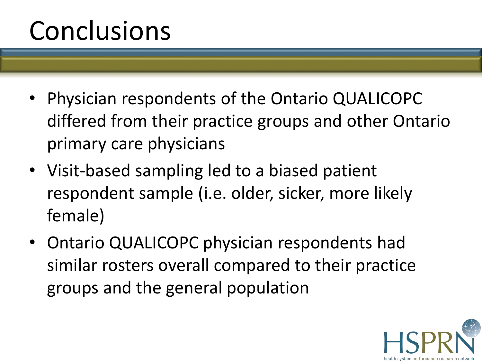## Conclusions

- Physician respondents of the Ontario QUALICOPC differed from their practice groups and other Ontario primary care physicians
- Visit-based sampling led to a biased patient respondent sample (i.e. older, sicker, more likely female)
- Ontario QUALICOPC physician respondents had similar rosters overall compared to their practice groups and the general population

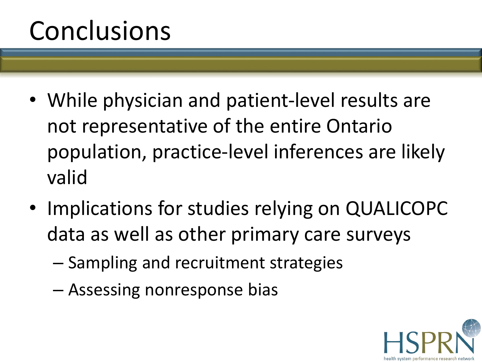## Conclusions

- While physician and patient-level results are not representative of the entire Ontario population, practice-level inferences are likely valid
- Implications for studies relying on QUALICOPC data as well as other primary care surveys
	- Sampling and recruitment strategies
	- Assessing nonresponse bias

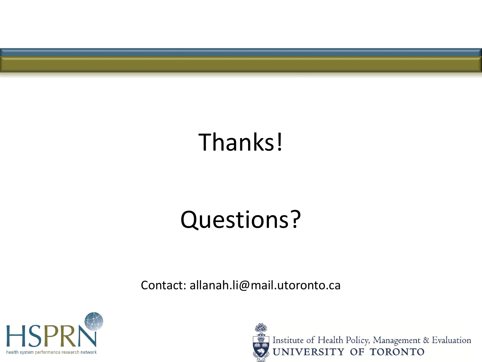

## Thanks!

#### Questions?

Contact: allanah.li@mail.utoronto.ca



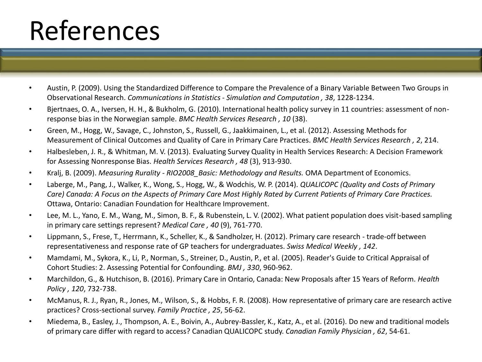# References

- Austin, P. (2009). Using the Standardized Difference to Compare the Prevalence of a Binary Variable Between Two Groups in Observational Research. *Communications in Statistics - Simulation and Computation , 38*, 1228-1234.
- Bjertnaes, O. A., Iversen, H. H., & Bukholm, G. (2010). International health policy survey in 11 countries: assessment of nonresponse bias in the Norwegian sample. *BMC Health Services Research , 10* (38).
- Green, M., Hogg, W., Savage, C., Johnston, S., Russell, G., Jaakkimainen, L., et al. (2012). Assessing Methods for Measurement of Clinical Outcomes and Quality of Care in Primary Care Practices. *BMC Health Services Research , 2*, 214.
- Halbesleben, J. R., & Whitman, M. V. (2013). Evaluating Survey Quality in Health Services Research: A Decision Framework for Assessing Nonresponse Bias. *Health Services Research , 48* (3), 913-930.
- Kralj, B. (2009). *Measuring Rurality - RIO2008\_Basic: Methodology and Results.* OMA Department of Economics.
- Laberge, M., Pang, J., Walker, K., Wong, S., Hogg, W., & Wodchis, W. P. (2014). *QUALICOPC (Quality and Costs of Primary Care) Canada: A Focus on the Aspects of Primary Care Most Highly Rated by Current Patients of Primary Care Practices.* Ottawa, Ontario: Canadian Foundation for Healthcare Improvement.
- Lee, M. L., Yano, E. M., Wang, M., Simon, B. F., & Rubenstein, L. V. (2002). What patient population does visit-based sampling in primary care settings represent? *Medical Care , 40* (9), 761-770.
- Lippmann, S., Frese, T., Herrmann, K., Scheller, K., & Sandholzer, H. (2012). Primary care research trade-off between representativeness and response rate of GP teachers for undergraduates. *Swiss Medical Weekly , 142*.
- Mamdami, M., Sykora, K., Li, P., Norman, S., Streiner, D., Austin, P., et al. (2005). Reader's Guide to Critical Appraisal of Cohort Studies: 2. Assessing Potential for Confounding. *BMJ , 330*, 960-962.
- Marchildon, G., & Hutchison, B. (2016). Primary Care in Ontario, Canada: New Proposals after 15 Years of Reform. *Health Policy , 120*, 732-738.
- McManus, R. J., Ryan, R., Jones, M., Wilson, S., & Hobbs, F. R. (2008). How representative of primary care are research active practices? Cross-sectional survey. *Family Practice , 25*, 56-62.
- Miedema, B., Easley, J., Thompson, A. E., Boivin, A., Aubrey-Bassler, K., Katz, A., et al. (2016). Do new and traditional models of primary care differ with regard to access? Canadian QUALICOPC study. *Canadian Family Physician , 62*, 54-61.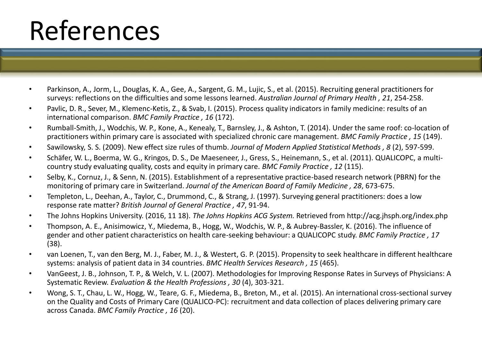# References

- Parkinson, A., Jorm, L., Douglas, K. A., Gee, A., Sargent, G. M., Lujic, S., et al. (2015). Recruiting general practitioners for surveys: reflections on the difficulties and some lessons learned. *Australian Journal of Primary Health , 21*, 254-258.
- Pavlic, D. R., Sever, M., Klemenc-Ketis, Z., & Svab, I. (2015). Process quality indicators in family medicine: results of an international comparison. *BMC Family Practice , 16* (172).
- Rumball-Smith, J., Wodchis, W. P., Kone, A., Kenealy, T., Barnsley, J., & Ashton, T. (2014). Under the same roof: co-location of practitioners within primary care is associated with specialized chronic care management. *BMC Family Practice , 15* (149).
- Sawilowsky, S. S. (2009). New effect size rules of thumb. *Journal of Modern Applied Statistical Methods , 8* (2), 597-599.
- Schäfer, W. L., Boerma, W. G., Kringos, D. S., De Maeseneer, J., Gress, S., Heinemann, S., et al. (2011). QUALICOPC, a multicountry study evaluating quality, costs and equity in primary care. *BMC Family Practice , 12* (115).
- Selby, K., Cornuz, J., & Senn, N. (2015). Establishment of a representative practice-based research network (PBRN) for the monitoring of primary care in Switzerland. *Journal of the American Board of Family Medicine , 28*, 673-675.
- Templeton, L., Deehan, A., Taylor, C., Drummond, C., & Strang, J. (1997). Surveying general practitioners: does a low response rate matter? *British Journal of General Practice , 47*, 91-94.
- The Johns Hopkins University. (2016, 11 18). *The Johns Hopkins ACG System.* Retrieved from http://acg.jhsph.org/index.php
- Thompson, A. E., Anisimowicz, Y., Miedema, B., Hogg, W., Wodchis, W. P., & Aubrey-Bassler, K. (2016). The influence of gender and other patient characteristics on health care-seeking behaviour: a QUALICOPC study. *BMC Family Practice , 17* (38).
- van Loenen, T., van den Berg, M. J., Faber, M. J., & Westert, G. P. (2015). Propensity to seek healthcare in different healthcare systems: analysis of patient data in 34 countries. *BMC Health Services Research , 15* (465).
- VanGeest, J. B., Johnson, T. P., & Welch, V. L. (2007). Methodologies for Improving Response Rates in Surveys of Physicians: A Systematic Review. *Evaluation & the Health Professions , 30* (4), 303-321.
- Wong, S. T., Chau, L. W., Hogg, W., Teare, G. F., Miedema, B., Breton, M., et al. (2015). An international cross-sectional survey on the Quality and Costs of Primary Care (QUALICO-PC): recruitment and data collection of places delivering primary care across Canada. *BMC Family Practice , 16* (20).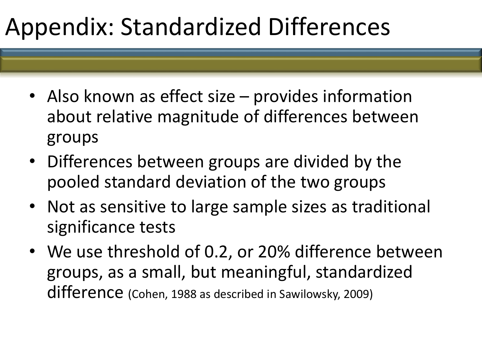#### Appendix: Standardized Differences

- Also known as effect size provides information about relative magnitude of differences between groups
- Differences between groups are divided by the pooled standard deviation of the two groups
- Not as sensitive to large sample sizes as traditional significance tests
- We use threshold of 0.2, or 20% difference between groups, as a small, but meaningful, standardized difference (Cohen, 1988 as described in Sawilowsky, 2009)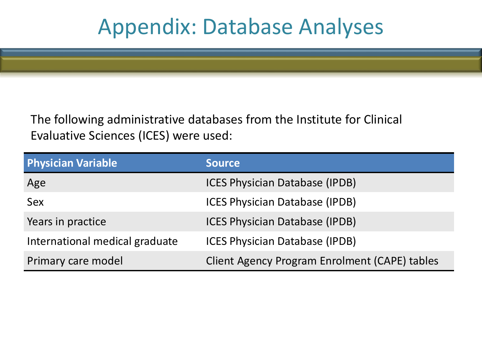#### Appendix: Database Analyses

The following administrative databases from the Institute for Clinical Evaluative Sciences (ICES) were used:

| <b>Physician Variable</b>      | <b>Source</b>                                        |
|--------------------------------|------------------------------------------------------|
| Age                            | <b>ICES Physician Database (IPDB)</b>                |
| Sex                            | <b>ICES Physician Database (IPDB)</b>                |
| Years in practice              | <b>ICES Physician Database (IPDB)</b>                |
| International medical graduate | <b>ICES Physician Database (IPDB)</b>                |
| Primary care model             | <b>Client Agency Program Enrolment (CAPE) tables</b> |